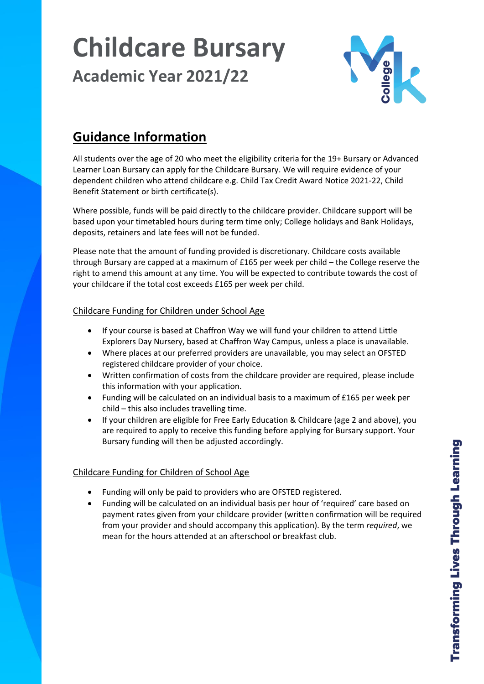# **Childcare Bursary Academic Year 2021/22**



# **Guidance Information**

All students over the age of 20 who meet the eligibility criteria for the 19+ Bursary or Advanced Learner Loan Bursary can apply for the Childcare Bursary. We will require evidence of your dependent children who attend childcare e.g. Child Tax Credit Award Notice 2021-22, Child Benefit Statement or birth certificate(s).

Where possible, funds will be paid directly to the childcare provider. Childcare support will be based upon your timetabled hours during term time only; College holidays and Bank Holidays, deposits, retainers and late fees will not be funded.

Please note that the amount of funding provided is discretionary. Childcare costs available through Bursary are capped at a maximum of £165 per week per child – the College reserve the right to amend this amount at any time. You will be expected to contribute towards the cost of your childcare if the total cost exceeds £165 per week per child.

# Childcare Funding for Children under School Age

- If your course is based at Chaffron Way we will fund your children to attend Little Explorers Day Nursery, based at Chaffron Way Campus, unless a place is unavailable.
- Where places at our preferred providers are unavailable, you may select an OFSTED registered childcare provider of your choice.
- Written confirmation of costs from the childcare provider are required, please include this information with your application.
- Funding will be calculated on an individual basis to a maximum of £165 per week per child – this also includes travelling time.
- If your children are eligible for Free Early Education & Childcare (age 2 and above), you are required to apply to receive this funding before applying for Bursary support. Your Bursary funding will then be adjusted accordingly.

# Childcare Funding for Children of School Age

- Funding will only be paid to providers who are OFSTED registered.
- Funding will be calculated on an individual basis per hour of 'required' care based on payment rates given from your childcare provider (written confirmation will be required from your provider and should accompany this application). By the term *required*, we mean for the hours attended at an afterschool or breakfast club.